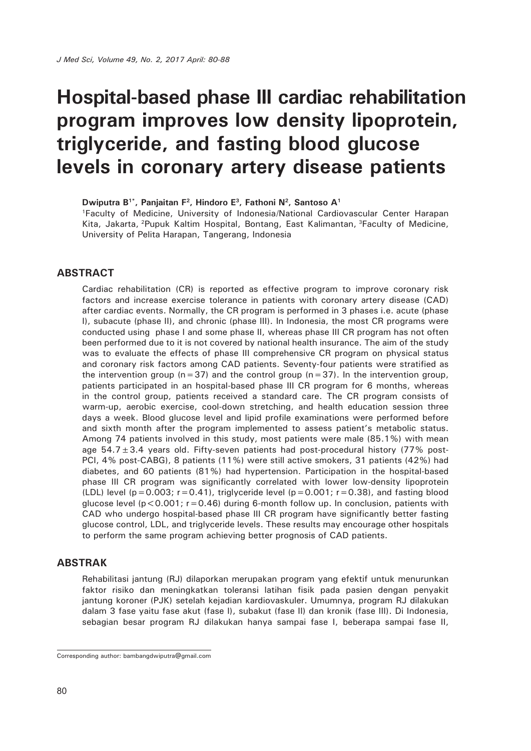**Dwiputra B1\*, Panjaitan F2, Hindoro E3, Fathoni N2, Santoso A1**

1Faculty of Medicine, University of Indonesia/National Cardiovascular Center Harapan Kita, Jakarta, 2Pupuk Kaltim Hospital, Bontang, East Kalimantan, 3Faculty of Medicine, University of Pelita Harapan, Tangerang, Indonesia

#### **ABSTRACT**

Cardiac rehabilitation (CR) is reported as effective program to improve coronary risk factors and increase exercise tolerance in patients with coronary artery disease (CAD) after cardiac events. Normally, the CR program is performed in 3 phases i.e. acute (phase I), subacute (phase II), and chronic (phase III). In Indonesia, the most CR programs were conducted using phase I and some phase II, whereas phase III CR program has not often been performed due to it is not covered by national health insurance. The aim of the study was to evaluate the effects of phase III comprehensive CR program on physical status and coronary risk factors among CAD patients. Seventy-four patients were stratified as the intervention group ( $n=37$ ) and the control group ( $n=37$ ). In the intervention group, patients participated in an hospital-based phase III CR program for 6 months, whereas in the control group, patients received a standard care. The CR program consists of warm-up, aerobic exercise, cool-down stretching, and health education session three days a week. Blood glucose level and lipid profile examinations were performed before and sixth month after the program implemented to assess patient's metabolic status. Among 74 patients involved in this study, most patients were male (85.1%) with mean age  $54.7 \pm 3.4$  years old. Fifty-seven patients had post-procedural history (77% post-PCI, 4% post-CABG), 8 patients (11%) were still active smokers, 31 patients (42%) had diabetes, and 60 patients (81%) had hypertension. Participation in the hospital-based phase III CR program was significantly correlated with lower low-density lipoprotein (LDL) level ( $p = 0.003$ ;  $r = 0.41$ ), triglyceride level ( $p = 0.001$ ;  $r = 0.38$ ), and fasting blood glucose level ( $p < 0.001$ ;  $r = 0.46$ ) during 6-month follow up. In conclusion, patients with CAD who undergo hospital-based phase III CR program have significantly better fasting glucose control, LDL, and triglyceride levels. These results may encourage other hospitals to perform the same program achieving better prognosis of CAD patients.

#### **ABSTRAK**

Rehabilitasi jantung (RJ) dilaporkan merupakan program yang efektif untuk menurunkan faktor risiko dan meningkatkan toleransi latihan fisik pada pasien dengan penyakit jantung koroner (PJK) setelah kejadian kardiovaskuler. Umumnya, program RJ dilakukan dalam 3 fase yaitu fase akut (fase I), subakut (fase II) dan kronik (fase III). Di Indonesia, sebagian besar program RJ dilakukan hanya sampai fase I, beberapa sampai fase II,

Corresponding author: bambangdwiputra@gmail.com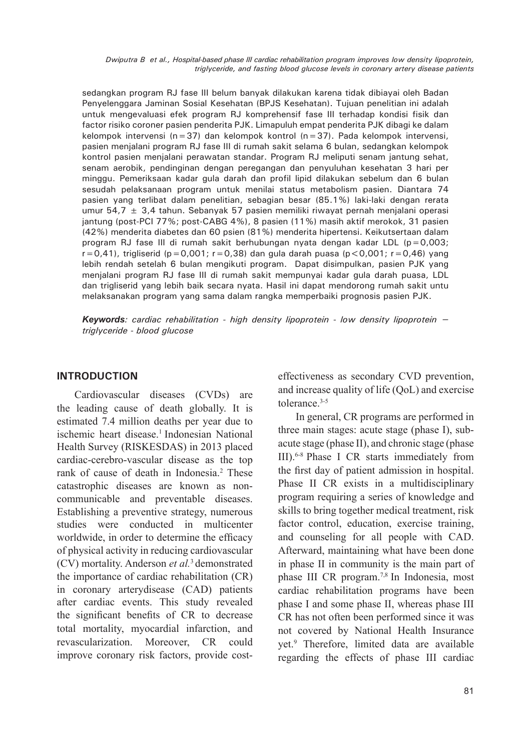sedangkan program RJ fase III belum banyak dilakukan karena tidak dibiayai oleh Badan Penyelenggara Jaminan Sosial Kesehatan (BPJS Kesehatan). Tujuan penelitian ini adalah untuk mengevaluasi efek program RJ komprehensif fase III terhadap kondisi fisik dan factor risiko coroner pasien penderita PJK. Limapuluh empat penderita PJK dibagi ke dalam kelompok intervensi (n=37) dan kelompok kontrol (n=37). Pada kelompok intervensi, pasien menjalani program RJ fase III di rumah sakit selama 6 bulan, sedangkan kelompok kontrol pasien menjalani perawatan standar. Program RJ meliputi senam jantung sehat, senam aerobik, pendinginan dengan peregangan dan penyuluhan kesehatan 3 hari per minggu. Pemeriksaan kadar gula darah dan profil lipid dilakukan sebelum dan 6 bulan sesudah pelaksanaan program untuk menilai status metabolism pasien. Diantara 74 pasien yang terlibat dalam penelitian, sebagian besar (85.1%) laki-laki dengan rerata umur 54,7  $\pm$  3,4 tahun. Sebanyak 57 pasien memiliki riwayat pernah menjalani operasi jantung (post-PCI 77%; post-CABG 4%), 8 pasien (11%) masih aktif merokok, 31 pasien (42%) menderita diabetes dan 60 psien (81%) menderita hipertensi. Keikutsertaan dalam program RJ fase III di rumah sakit berhubungan nyata dengan kadar LDL ( $p=0.003$ ;  $r=0,41$ ), trigliserid (p=0,001; r=0,38) dan gula darah puasa (p<0,001; r=0,46) yang lebih rendah setelah 6 bulan mengikuti program. Dapat disimpulkan, pasien PJK yang menjalani program RJ fase III di rumah sakit mempunyai kadar gula darah puasa, LDL dan trigliserid yang lebih baik secara nyata. Hasil ini dapat mendorong rumah sakit untu melaksanakan program yang sama dalam rangka memperbaiki prognosis pasien PJK.

*Keywords: cardiac rehabilitation - high density lipoprotein - low density lipoprotein – triglyceride - blood glucose*

### **INTRODUCTION**

Cardiovascular diseases (CVDs) are the leading cause of death globally. It is estimated 7.4 million deaths per year due to ischemic heart disease.<sup>1</sup> Indonesian National Health Survey (RISKESDAS) in 2013 placed cardiac-cerebro-vascular disease as the top rank of cause of death in Indonesia.<sup>2</sup> These catastrophic diseases are known as noncommunicable and preventable diseases. Establishing a preventive strategy, numerous studies were conducted in multicenter worldwide, in order to determine the efficacy of physical activity in reducing cardiovascular (CV) mortality. Anderson *et al.*3 demonstrated the importance of cardiac rehabilitation (CR) in coronary arterydisease (CAD) patients after cardiac events. This study revealed the significant benefits of CR to decrease total mortality, myocardial infarction, and revascularization. Moreover, CR could improve coronary risk factors, provide costeffectiveness as secondary CVD prevention, and increase quality of life (QoL) and exercise tolerance.3-5

In general, CR programs are performed in three main stages: acute stage (phase I), subacute stage (phase II), and chronic stage (phase III).6-8 Phase I CR starts immediately from the first day of patient admission in hospital. Phase II CR exists in a multidisciplinary program requiring a series of knowledge and skills to bring together medical treatment, risk factor control, education, exercise training, and counseling for all people with CAD. Afterward, maintaining what have been done in phase II in community is the main part of phase III CR program.7,8 In Indonesia, most cardiac rehabilitation programs have been phase I and some phase II, whereas phase III CR has not often been performed since it was not covered by National Health Insurance yet.9 Therefore, limited data are available regarding the effects of phase III cardiac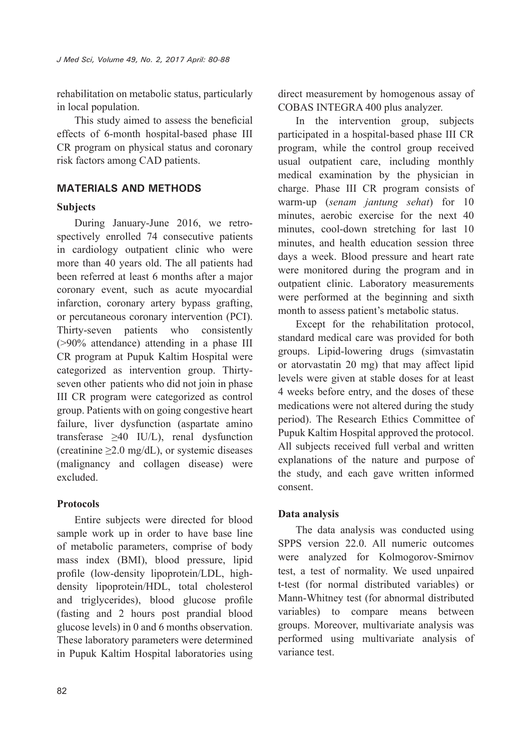rehabilitation on metabolic status, particularly in local population.

This study aimed to assess the beneficial effects of 6-month hospital-based phase III CR program on physical status and coronary risk factors among CAD patients.

# **MATERIALS AND METHODS**

# **Subjects**

During January-June 2016, we retrospectively enrolled 74 consecutive patients in cardiology outpatient clinic who were more than 40 years old. The all patients had been referred at least 6 months after a major coronary event, such as acute myocardial infarction, coronary artery bypass grafting, or percutaneous coronary intervention (PCI). Thirty-seven patients who consistently (>90% attendance) attending in a phase III CR program at Pupuk Kaltim Hospital were categorized as intervention group. Thirtyseven other patients who did not join in phase III CR program were categorized as control group. Patients with on going congestive heart failure, liver dysfunction (aspartate amino transferase ≥40 IU/L), renal dysfunction (creatinine  $\geq$  2.0 mg/dL), or systemic diseases (malignancy and collagen disease) were excluded.

# **Protocols**

Entire subjects were directed for blood sample work up in order to have base line of metabolic parameters, comprise of body mass index (BMI), blood pressure, lipid profile (low-density lipoprotein/LDL, highdensity lipoprotein/HDL, total cholesterol and triglycerides), blood glucose profile (fasting and 2 hours post prandial blood glucose levels) in 0 and 6 months observation. These laboratory parameters were determined in Pupuk Kaltim Hospital laboratories using direct measurement by homogenous assay of COBAS INTEGRA 400 plus analyzer.

In the intervention group, subjects participated in a hospital-based phase III CR program, while the control group received usual outpatient care, including monthly medical examination by the physician in charge. Phase III CR program consists of warm-up (*senam jantung sehat*) for 10 minutes, aerobic exercise for the next 40 minutes, cool-down stretching for last 10 minutes, and health education session three days a week. Blood pressure and heart rate were monitored during the program and in outpatient clinic. Laboratory measurements were performed at the beginning and sixth month to assess patient's metabolic status.

Except for the rehabilitation protocol, standard medical care was provided for both groups. Lipid-lowering drugs (simvastatin or atorvastatin 20 mg) that may affect lipid levels were given at stable doses for at least 4 weeks before entry, and the doses of these medications were not altered during the study period). The Research Ethics Committee of Pupuk Kaltim Hospital approved the protocol. All subjects received full verbal and written explanations of the nature and purpose of the study, and each gave written informed consent.

# **Data analysis**

The data analysis was conducted using SPPS version 22.0. All numeric outcomes were analyzed for Kolmogorov-Smirnov test, a test of normality. We used unpaired t-test (for normal distributed variables) or Mann-Whitney test (for abnormal distributed variables) to compare means between groups. Moreover, multivariate analysis was performed using multivariate analysis of variance test.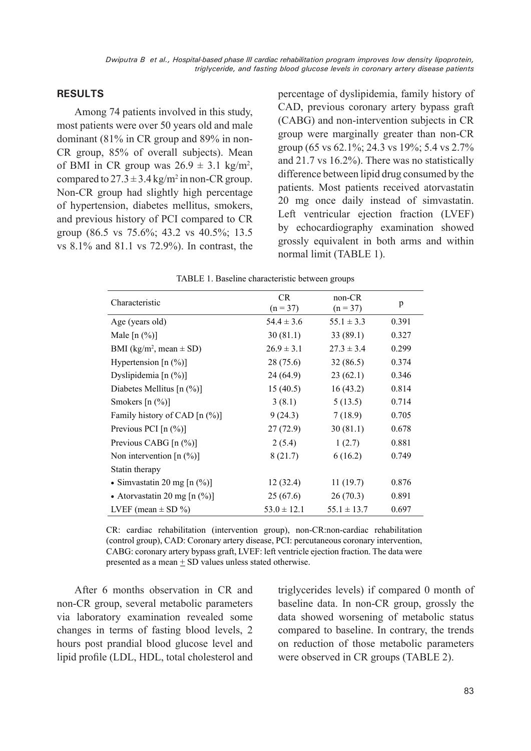#### **RESULTS**

Among 74 patients involved in this study, most patients were over 50 years old and male dominant (81% in CR group and 89% in non-CR group, 85% of overall subjects). Mean of BMI in CR group was  $26.9 \pm 3.1$  kg/m<sup>2</sup>, compared to  $27.3 \pm 3.4$  kg/m<sup>2</sup> in non-CR group. Non-CR group had slightly high percentage of hypertension, diabetes mellitus, smokers, and previous history of PCI compared to CR group (86.5 vs 75.6%; 43.2 vs 40.5%; 13.5 vs 8.1% and 81.1 vs 72.9%). In contrast, the

percentage of dyslipidemia, family history of CAD, previous coronary artery bypass graft (CABG) and non-intervention subjects in CR group were marginally greater than non-CR group (65 vs 62.1%; 24.3 vs 19%; 5.4 vs 2.7% and 21.7 vs 16.2%). There was no statistically difference between lipid drug consumed by the patients. Most patients received atorvastatin 20 mg once daily instead of simvastatin. Left ventricular ejection fraction (LVEF) by echocardiography examination showed grossly equivalent in both arms and within normal limit (TABLE 1).

| TABLE 1. Baseline characteristic between groups |                   |                      |       |  |  |  |
|-------------------------------------------------|-------------------|----------------------|-------|--|--|--|
| Characteristic                                  | CR.<br>$(n = 37)$ | non-CR<br>$(n = 37)$ | p     |  |  |  |
| Age (years old)                                 | $54.4 \pm 3.6$    | $55.1 \pm 3.3$       | 0.391 |  |  |  |
| Male $[n (%)]$                                  | 30(81.1)          | 33(89.1)             | 0.327 |  |  |  |
| BMI (kg/m <sup>2</sup> , mean $\pm$ SD)         | $26.9 \pm 3.1$    | $27.3 \pm 3.4$       | 0.299 |  |  |  |
| Hypertension $[n (%)]$                          | 28(75.6)          | 32(86.5)             | 0.374 |  |  |  |
| Dyslipidemia $[n (%)]$                          | 24(64.9)          | 23(62.1)             | 0.346 |  |  |  |
| Diabetes Mellitus [n $(\%)$ ]                   | 15(40.5)          | 16(43.2)             | 0.814 |  |  |  |
| Smokers $[n (%)]$                               | 3(8.1)            | 5(13.5)              | 0.714 |  |  |  |
| Family history of CAD $[n (\%)]$                | 9(24.3)           | 7(18.9)              | 0.705 |  |  |  |
| Previous PCI $[n (%)]$                          | 27(72.9)          | 30(81.1)             | 0.678 |  |  |  |
| Previous CABG $[n (%)]$                         | 2(5.4)            | 1(2.7)               | 0.881 |  |  |  |
| Non intervention $[n (%)]$                      | 8(21.7)           | 6(16.2)              | 0.749 |  |  |  |
| Statin therapy                                  |                   |                      |       |  |  |  |
| • Simvastatin 20 mg $[n (%)]$                   | 12(32.4)          | 11(19.7)             | 0.876 |  |  |  |
| • Atorvastatin 20 mg [n $(\%)$ ]                | 25(67.6)          | 26(70.3)             | 0.891 |  |  |  |
| LVEF (mean $\pm$ SD %)                          | $53.0 \pm 12.1$   | $55.1 \pm 13.7$      | 0.697 |  |  |  |

 $T_{\rm A}$  BLF 1. Baseline characteristic between groups

CR: cardiac rehabilitation (intervention group), non-CR:non-cardiac rehabilitation (control group), CAD: Coronary artery disease, PCI: percutaneous coronary intervention, CABG: coronary artery bypass graft, LVEF: left ventricle ejection fraction. The data were presented as a mean + SD values unless stated otherwise.

After 6 months observation in CR and non-CR group, several metabolic parameters via laboratory examination revealed some changes in terms of fasting blood levels, 2 hours post prandial blood glucose level and lipid profile (LDL, HDL, total cholesterol and triglycerides levels) if compared 0 month of baseline data. In non-CR group, grossly the data showed worsening of metabolic status compared to baseline. In contrary, the trends on reduction of those metabolic parameters were observed in CR groups (TABLE 2).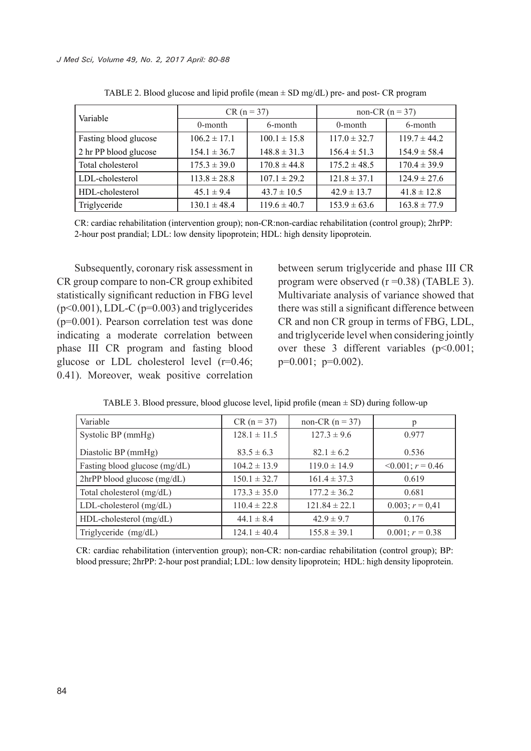| Variable              | $CR (n = 37)$    |                  | non-CR $(n = 37)$ |                  |
|-----------------------|------------------|------------------|-------------------|------------------|
|                       | 0-month          | 6-month          | 0-month           | 6-month          |
| Fasting blood glucose | $106.2 \pm 17.1$ | $100.1 \pm 15.8$ | $117.0 \pm 32.7$  | $119.7 \pm 44.2$ |
| 2 hr PP blood glucose | $154.1 \pm 36.7$ | $148.8 \pm 31.3$ | $156.4 \pm 51.3$  | $154.9 \pm 58.4$ |
| Total cholesterol     | $175.3 \pm 39.0$ | $170.8 \pm 44.8$ | $175.2 \pm 48.5$  | $170.4 \pm 39.9$ |
| LDL-cholesterol       | $113.8 \pm 28.8$ | $107.1 \pm 29.2$ | $121.8 \pm 37.1$  | $124.9 \pm 27.6$ |
| HDL-cholesterol       | $45.1 \pm 9.4$   | $43.7 \pm 10.5$  | $42.9 \pm 13.7$   | $41.8 \pm 12.8$  |
| Triglyceride          | $130.1 \pm 48.4$ | $119.6 \pm 40.7$ | $153.9 \pm 63.6$  | $163.8 \pm 77.9$ |

TABLE 2. Blood glucose and lipid profile (mean  $\pm$  SD mg/dL) pre- and post- CR program

CR: cardiac rehabilitation (intervention group); non-CR:non-cardiac rehabilitation (control group); 2hrPP: 2-hour post prandial; LDL: low density lipoprotein; HDL: high density lipoprotein.

Subsequently, coronary risk assessment in CR group compare to non-CR group exhibited statistically significant reduction in FBG level  $(p<0.001)$ , LDL-C  $(p=0.003)$  and triglycerides (p=0.001). Pearson correlation test was done indicating a moderate correlation between phase III CR program and fasting blood glucose or LDL cholesterol level (r=0.46; 0.41). Moreover, weak positive correlation between serum triglyceride and phase III CR program were observed (r =0.38) (TABLE 3). Multivariate analysis of variance showed that there was still a significant difference between CR and non CR group in terms of FBG, LDL, and triglyceride level when considering jointly over these 3 different variables (p<0.001;  $p=0.001$ ;  $p=0.002$ ).

| Variable                      | $CR (n = 37)$    | non-CR $(n = 37)$ | p                         |
|-------------------------------|------------------|-------------------|---------------------------|
| Systolic BP (mmHg)            | $128.1 \pm 11.5$ | $127.3 \pm 9.6$   | 0.977                     |
| Diastolic BP (mmHg)           | $83.5 \pm 6.3$   | $82.1 \pm 6.2$    | 0.536                     |
| Fasting blood glucose (mg/dL) | $104.2 \pm 13.9$ | $119.0 \pm 14.9$  | $\leq 0.001$ ; $r = 0.46$ |
| 2hrPP blood glucose (mg/dL)   | $150.1 \pm 32.7$ | $161.4 \pm 37.3$  | 0.619                     |
| Total cholesterol (mg/dL)     | $173.3 \pm 35.0$ | $177.2 \pm 36.2$  | 0.681                     |
| $LDL$ -cholesterol (mg/dL)    | $110.4 \pm 22.8$ | $121.84 \pm 22.1$ | $0.003; r = 0.41$         |
| HDL-cholesterol (mg/dL)       | $44.1 \pm 8.4$   | $42.9 \pm 9.7$    | 0.176                     |
| Triglyceride (mg/dL)          | $124.1 \pm 40.4$ | $155.8 \pm 39.1$  | $0.001; r = 0.38$         |

TABLE 3. Blood pressure, blood glucose level, lipid profile (mean  $\pm$  SD) during follow-up

CR: cardiac rehabilitation (intervention group); non-CR: non-cardiac rehabilitation (control group); BP: blood pressure; 2hrPP: 2-hour post prandial; LDL: low density lipoprotein; HDL: high density lipoprotein.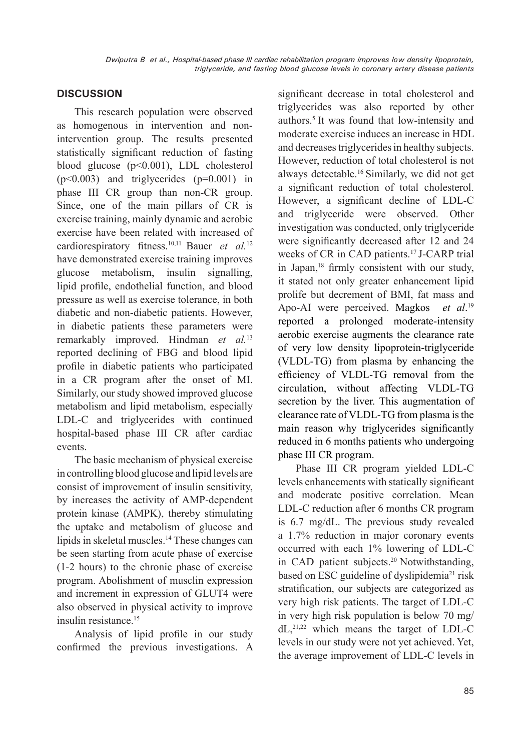## **DISCUSSION**

This research population were observed as homogenous in intervention and nonintervention group. The results presented statistically significant reduction of fasting blood glucose (p<0.001), LDL cholesterol  $(p<0.003)$  and triglycerides  $(p=0.001)$  in phase III CR group than non-CR group. Since, one of the main pillars of CR is exercise training, mainly dynamic and aerobic exercise have been related with increased of cardiorespiratory fitness.10,11 Bauer *et al.*<sup>12</sup> have demonstrated exercise training improves glucose metabolism, insulin signalling, lipid profile, endothelial function, and blood pressure as well as exercise tolerance, in both diabetic and non-diabetic patients. However, in diabetic patients these parameters were remarkably improved. Hindman *et al.*<sup>13</sup> reported declining of FBG and blood lipid profile in diabetic patients who participated in a CR program after the onset of MI. Similarly, our study showed improved glucose metabolism and lipid metabolism, especially LDL-C and triglycerides with continued hospital-based phase III CR after cardiac events.

The basic mechanism of physical exercise in controlling blood glucose and lipid levels are consist of improvement of insulin sensitivity, by increases the activity of AMP-dependent protein kinase (AMPK), thereby stimulating the uptake and metabolism of glucose and lipids in skeletal muscles.14 These changes can be seen starting from acute phase of exercise (1-2 hours) to the chronic phase of exercise program. Abolishment of musclin expression and increment in expression of GLUT4 were also observed in physical activity to improve insulin resistance<sup>15</sup>

Analysis of lipid profile in our study confirmed the previous investigations. A significant decrease in total cholesterol and triglycerides was also reported by other authors.5 It was found that low-intensity and moderate exercise induces an increase in HDL and decreases triglycerides in healthy subjects. However, reduction of total cholesterol is not always detectable.16 Similarly, we did not get a significant reduction of total cholesterol. However, a significant decline of LDL-C and triglyceride were observed. Other investigation was conducted, only triglyceride were significantly decreased after 12 and 24 weeks of CR in CAD patients.<sup>17</sup> J-CARP trial in Japan,18 firmly consistent with our study, it stated not only greater enhancement lipid prolife but decrement of BMI, fat mass and Apo-AI were perceived. Magkos  $et \text{ } al.^{19}$ reported a prolonged moderate-intensity aerobic exercise augments the clearance rate of very low density lipoprotein-triglyceride (VLDL-TG) from plasma by enhancing the efficiency of VLDL-TG removal from the circulation, without affecting VLDL-TG secretion by the liver. This augmentation of clearance rate of VLDL-TG from plasma is the main reason why triglycerides significantly reduced in 6 months patients who undergoing phase III CR program.

Phase III CR program yielded LDL-C levels enhancements with statically significant and moderate positive correlation. Mean LDL-C reduction after 6 months CR program is 6.7 mg/dL. The previous study revealed a 1.7% reduction in major coronary events occurred with each 1% lowering of LDL-C in CAD patient subjects.20 Notwithstanding, based on ESC guideline of dyslipidemia<sup>21</sup> risk stratification, our subjects are categorized as very high risk patients. The target of LDL-C in very high risk population is below 70 mg/  $dL$ ,<sup>21,22</sup> which means the target of LDL-C levels in our study were not yet achieved. Yet, the average improvement of LDL-C levels in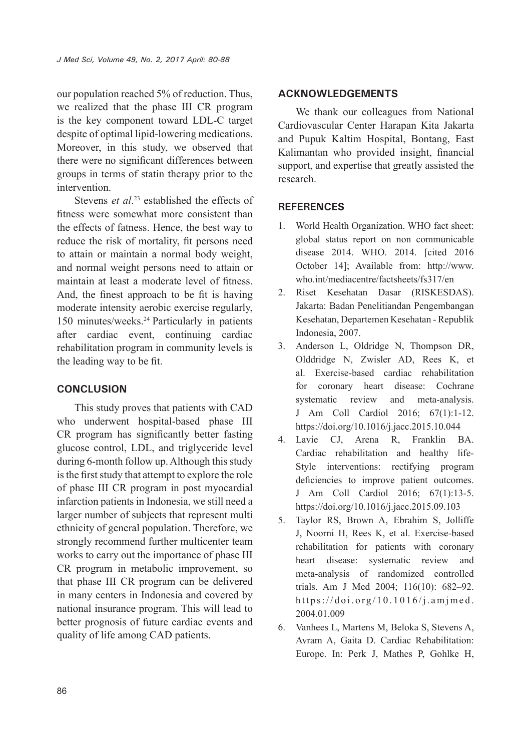our population reached 5% of reduction. Thus, we realized that the phase III CR program is the key component toward LDL-C target despite of optimal lipid-lowering medications. Moreover, in this study, we observed that there were no significant differences between groups in terms of statin therapy prior to the intervention.

Stevens *et al*. 23 established the effects of fitness were somewhat more consistent than the effects of fatness. Hence, the best way to reduce the risk of mortality, fit persons need to attain or maintain a normal body weight, and normal weight persons need to attain or maintain at least a moderate level of fitness. And, the finest approach to be fit is having moderate intensity aerobic exercise regularly, 150 minutes/weeks.24 Particularly in patients after cardiac event, continuing cardiac rehabilitation program in community levels is the leading way to be fit.

# **CONCLUSION**

This study proves that patients with CAD who underwent hospital-based phase III CR program has significantly better fasting glucose control, LDL, and triglyceride level during 6-month follow up. Although this study is the first study that attempt to explore the role of phase III CR program in post myocardial infarction patients in Indonesia, we still need a larger number of subjects that represent multi ethnicity of general population. Therefore, we strongly recommend further multicenter team works to carry out the importance of phase III CR program in metabolic improvement, so that phase III CR program can be delivered in many centers in Indonesia and covered by national insurance program. This will lead to better prognosis of future cardiac events and quality of life among CAD patients.

## **ACKNOWLEDGEMENTS**

We thank our colleagues from National Cardiovascular Center Harapan Kita Jakarta and Pupuk Kaltim Hospital, Bontang, East Kalimantan who provided insight, financial support, and expertise that greatly assisted the research.

# **REFERENCES**

- 1. World Health Organization. WHO fact sheet: global status report on non communicable disease 2014. WHO. 2014. [cited 2016 October 14]; Available from: http://www. who.int/mediacentre/factsheets/fs317/en
- 2. Riset Kesehatan Dasar (RISKESDAS). Jakarta: Badan Penelitiandan Pengembangan Kesehatan, Departemen Kesehatan - Republik Indonesia, 2007.
- 3. Anderson L, Oldridge N, Thompson DR, Olddridge N, Zwisler AD, Rees K, et al. Exercise-based cardiac rehabilitation for coronary heart disease: Cochrane systematic review and meta-analysis. J Am Coll Cardiol 2016; 67(1):1-12. https://doi.org/10.1016/j.jacc.2015.10.044
- 4. Lavie CJ, Arena R, Franklin BA. Cardiac rehabilitation and healthy life-Style interventions: rectifying program deficiencies to improve patient outcomes. J Am Coll Cardiol 2016; 67(1):13-5. https://doi.org/10.1016/j.jacc.2015.09.103
- 5. Taylor RS, Brown A, Ebrahim S, Jolliffe J, Noorni H, Rees K, et al. Exercise-based rehabilitation for patients with coronary heart disease: systematic review and meta-analysis of randomized controlled trials. Am J Med 2004; 116(10): 682–92. https://doi.org/10.1016/j.amjmed. 2004.01.009
- 6. Vanhees L, Martens M, Beloka S, Stevens A, Avram A, Gaita D. Cardiac Rehabilitation: Europe. In: Perk J, Mathes P, Gohlke H,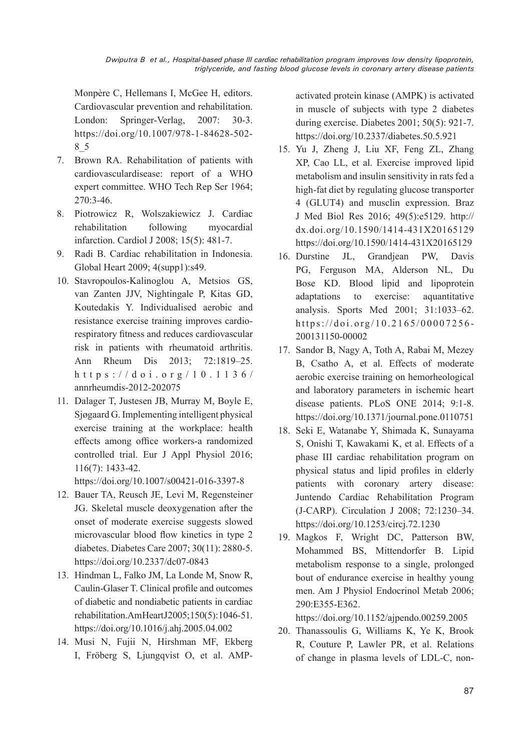Monpère C, Hellemans I, McGee H, editors. Cardiovascular prevention and rehabilitation. London: Springer-Verlag, 2007: 30-3. https://doi.org/10.1007/978-1-84628-502- 8\_5

- 7. Brown RA. Rehabilitation of patients with cardiovasculardisease: report of a WHO expert committee. WHO Tech Rep Ser 1964; 270:3-46.
- 8. Piotrowicz R, Wolszakiewicz J. Cardiac rehabilitation following myocardial infarction. Cardiol J 2008; 15(5): 481-7.
- 9. Radi B. Cardiac rehabilitation in Indonesia. Global Heart 2009; 4(supp1):s49.
- 10. Stavropoulos-Kalinoglou A, Metsios GS, van Zanten JJV, Nightingale P, Kitas GD, Koutedakis Y. Individualised aerobic and resistance exercise training improves cardiorespiratory fitness and reduces cardiovascular risk in patients with rheumatoid arthritis. Ann Rheum Dis 2013; 72:1819–25. https://doi.org/10.1136/ annrheumdis-2012-202075
- 11. Dalager T, Justesen JB, Murray M, Boyle E, Sjøgaard G. Implementing intelligent physical exercise training at the workplace: health effects among office workers-a randomized controlled trial. Eur J Appl Physiol 2016; 116(7): 1433-42.

https://doi.org/10.1007/s00421-016-3397-8

- 12. Bauer TA, Reusch JE, Levi M, Regensteiner JG. Skeletal muscle deoxygenation after the onset of moderate exercise suggests slowed microvascular blood flow kinetics in type 2 diabetes. Diabetes Care 2007; 30(11): 2880-5. https://doi.org/10.2337/dc07-0843
- 13. Hindman L, Falko JM, La Londe M, Snow R, Caulin-Glaser T. Clinical profile and outcomes of diabetic and nondiabetic patients in cardiac rehabilitation. Am Heart J 2005; 150(5): 1046-51. https://doi.org/10.1016/j.ahj.2005.04.002
- 14. Musi N, Fujii N, Hirshman MF, Ekberg I, Fröberg S, Ljungqvist O, et al. AMP-

activated protein kinase (AMPK) is activated in muscle of subjects with type 2 diabetes during exercise. Diabetes 2001; 50(5): 921-7. https://doi.org/10.2337/diabetes.50.5.921

- 15. Yu J, Zheng J, Liu XF, Feng ZL, Zhang XP, Cao LL, et al. Exercise improved lipid metabolism and insulin sensitivity in rats fed a high-fat diet by regulating glucose transporter 4 (GLUT4) and musclin expression. Braz J Med Biol Res 2016; 49(5):e5129. http:// dx.doi.org/10.1590/1414-431X20165129 https://doi.org/10.1590/1414-431X20165129
- 16. Durstine JL, Grandjean PW, Davis PG, Ferguson MA, Alderson NL, Du Bose KD. Blood lipid and lipoprotein adaptations to exercise: aquantitative analysis. Sports Med 2001; 31:1033–62. https://doi.org/10.2165/00007256- 200131150-00002
- 17. Sandor B, Nagy A, Toth A, Rabai M, Mezey B, Csatho A, et al. Effects of moderate aerobic exercise training on hemorheological and laboratory parameters in ischemic heart disease patients. PLoS ONE 2014; 9:1-8. https://doi.org/10.1371/journal.pone.0110751
- 18. Seki E, Watanabe Y, Shimada K, Sunayama S, Onishi T, Kawakami K, et al. Effects of a phase III cardiac rehabilitation program on physical status and lipid profiles in elderly patients with coronary artery disease: Juntendo Cardiac Rehabilitation Program (J-CARP). Circulation J 2008; 72:1230–34. https://doi.org/10.1253/circj.72.1230
- 19. Magkos F, Wright DC, Patterson BW, Mohammed BS, Mittendorfer B. Lipid metabolism response to a single, prolonged bout of endurance exercise in healthy young men. Am J Physiol Endocrinol Metab 2006; 290:E355-E362.

https://doi.org/10.1152/ajpendo.00259.2005

20. Thanassoulis G, Williams K, Ye K, Brook R, Couture P, Lawler PR, et al. Relations of change in plasma levels of LDL-C, non